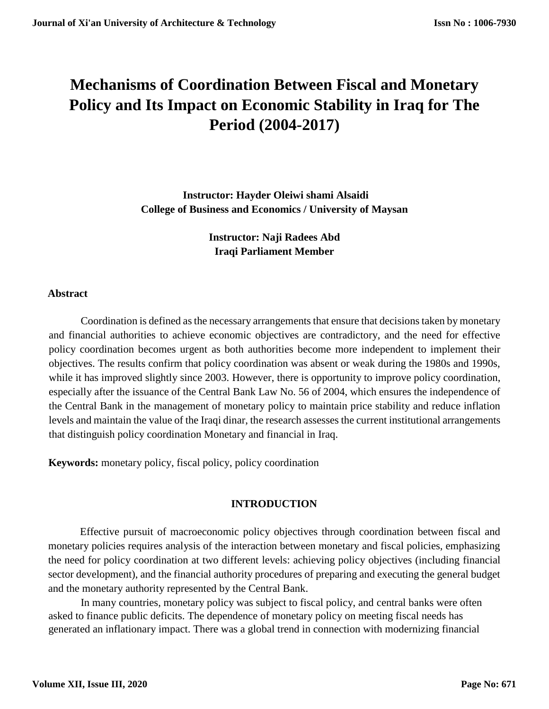# **Mechanisms of Coordination Between Fiscal and Monetary Policy and Its Impact on Economic Stability in Iraq for The Period (2004-2017)**

**Instructor: Hayder Oleiwi shami Alsaidi College of Business and Economics / University of Maysan**

> **Instructor: Naji Radees Abd Iraqi Parliament Member**

### **Abstract**

Coordination is defined as the necessary arrangements that ensure that decisions taken by monetary and financial authorities to achieve economic objectives are contradictory, and the need for effective policy coordination becomes urgent as both authorities become more independent to implement their objectives. The results confirm that policy coordination was absent or weak during the 1980s and 1990s, while it has improved slightly since 2003. However, there is opportunity to improve policy coordination, especially after the issuance of the Central Bank Law No. 56 of 2004, which ensures the independence of the Central Bank in the management of monetary policy to maintain price stability and reduce inflation levels and maintain the value of the Iraqi dinar, the research assesses the current institutional arrangements that distinguish policy coordination Monetary and financial in Iraq.

**Keywords:** monetary policy, fiscal policy, policy coordination

# **INTRODUCTION**

Effective pursuit of macroeconomic policy objectives through coordination between fiscal and monetary policies requires analysis of the interaction between monetary and fiscal policies, emphasizing the need for policy coordination at two different levels: achieving policy objectives (including financial sector development), and the financial authority procedures of preparing and executing the general budget and the monetary authority represented by the Central Bank.

In many countries, monetary policy was subject to fiscal policy, and central banks were often asked to finance public deficits. The dependence of monetary policy on meeting fiscal needs has generated an inflationary impact. There was a global trend in connection with modernizing financial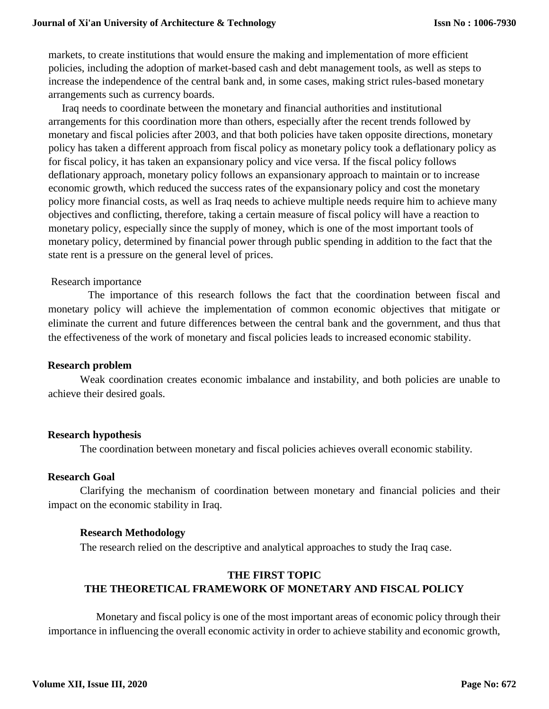markets, to create institutions that would ensure the making and implementation of more efficient policies, including the adoption of market-based cash and debt management tools, as well as steps to increase the independence of the central bank and, in some cases, making strict rules-based monetary arrangements such as currency boards.

 Iraq needs to coordinate between the monetary and financial authorities and institutional arrangements for this coordination more than others, especially after the recent trends followed by monetary and fiscal policies after 2003, and that both policies have taken opposite directions, monetary policy has taken a different approach from fiscal policy as monetary policy took a deflationary policy as for fiscal policy, it has taken an expansionary policy and vice versa. If the fiscal policy follows deflationary approach, monetary policy follows an expansionary approach to maintain or to increase economic growth, which reduced the success rates of the expansionary policy and cost the monetary policy more financial costs, as well as Iraq needs to achieve multiple needs require him to achieve many objectives and conflicting, therefore, taking a certain measure of fiscal policy will have a reaction to monetary policy, especially since the supply of money, which is one of the most important tools of monetary policy, determined by financial power through public spending in addition to the fact that the state rent is a pressure on the general level of prices.

#### Research importance

 The importance of this research follows the fact that the coordination between fiscal and monetary policy will achieve the implementation of common economic objectives that mitigate or eliminate the current and future differences between the central bank and the government, and thus that the effectiveness of the work of monetary and fiscal policies leads to increased economic stability.

### **Research problem**

Weak coordination creates economic imbalance and instability, and both policies are unable to achieve their desired goals.

#### **Research hypothesis**

The coordination between monetary and fiscal policies achieves overall economic stability.

#### **Research Goal**

Clarifying the mechanism of coordination between monetary and financial policies and their impact on the economic stability in Iraq.

### **Research Methodology**

The research relied on the descriptive and analytical approaches to study the Iraq case.

# **THE FIRST TOPIC THE THEORETICAL FRAMEWORK OF MONETARY AND FISCAL POLICY**

 Monetary and fiscal policy is one of the most important areas of economic policy through their importance in influencing the overall economic activity in order to achieve stability and economic growth,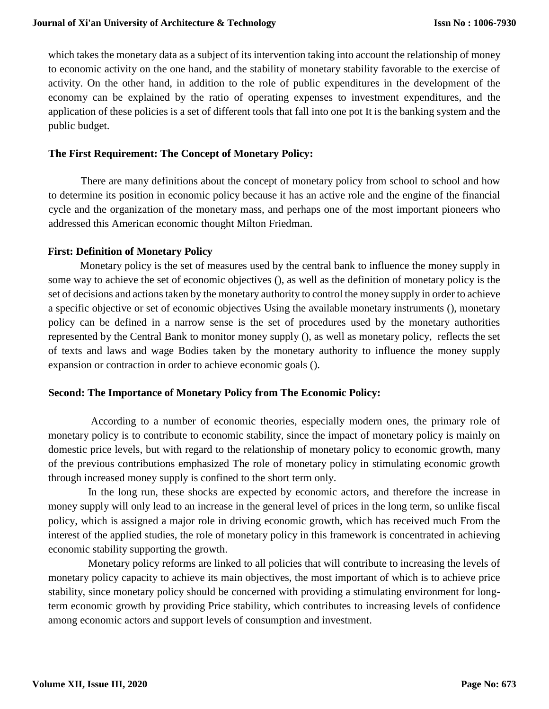which takes the monetary data as a subject of its intervention taking into account the relationship of money to economic activity on the one hand, and the stability of monetary stability favorable to the exercise of activity. On the other hand, in addition to the role of public expenditures in the development of the economy can be explained by the ratio of operating expenses to investment expenditures, and the application of these policies is a set of different tools that fall into one pot It is the banking system and the public budget.

### **The First Requirement: The Concept of Monetary Policy:**

There are many definitions about the concept of monetary policy from school to school and how to determine its position in economic policy because it has an active role and the engine of the financial cycle and the organization of the monetary mass, and perhaps one of the most important pioneers who addressed this American economic thought Milton Friedman.

### **First: Definition of Monetary Policy**

Monetary policy is the set of measures used by the central bank to influence the money supply in some way to achieve the set of economic objectives (), as well as the definition of monetary policy is the set of decisions and actions taken by the monetary authority to control the money supply in order to achieve a specific objective or set of economic objectives Using the available monetary instruments (), monetary policy can be defined in a narrow sense is the set of procedures used by the monetary authorities represented by the Central Bank to monitor money supply (), as well as monetary policy, reflects the set of texts and laws and wage Bodies taken by the monetary authority to influence the money supply expansion or contraction in order to achieve economic goals ().

### **Second: The Importance of Monetary Policy from The Economic Policy:**

 According to a number of economic theories, especially modern ones, the primary role of monetary policy is to contribute to economic stability, since the impact of monetary policy is mainly on domestic price levels, but with regard to the relationship of monetary policy to economic growth, many of the previous contributions emphasized The role of monetary policy in stimulating economic growth through increased money supply is confined to the short term only.

 In the long run, these shocks are expected by economic actors, and therefore the increase in money supply will only lead to an increase in the general level of prices in the long term, so unlike fiscal policy, which is assigned a major role in driving economic growth, which has received much From the interest of the applied studies, the role of monetary policy in this framework is concentrated in achieving economic stability supporting the growth.

 Monetary policy reforms are linked to all policies that will contribute to increasing the levels of monetary policy capacity to achieve its main objectives, the most important of which is to achieve price stability, since monetary policy should be concerned with providing a stimulating environment for longterm economic growth by providing Price stability, which contributes to increasing levels of confidence among economic actors and support levels of consumption and investment.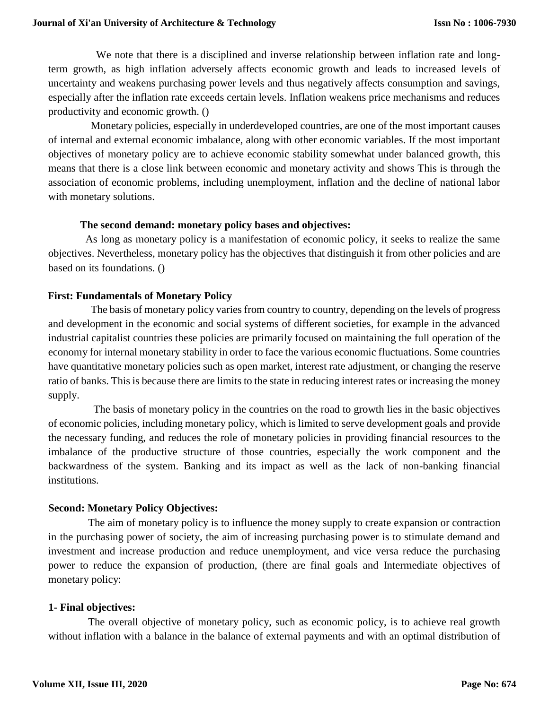We note that there is a disciplined and inverse relationship between inflation rate and longterm growth, as high inflation adversely affects economic growth and leads to increased levels of uncertainty and weakens purchasing power levels and thus negatively affects consumption and savings, especially after the inflation rate exceeds certain levels. Inflation weakens price mechanisms and reduces productivity and economic growth. ()

 Monetary policies, especially in underdeveloped countries, are one of the most important causes of internal and external economic imbalance, along with other economic variables. If the most important objectives of monetary policy are to achieve economic stability somewhat under balanced growth, this means that there is a close link between economic and monetary activity and shows This is through the association of economic problems, including unemployment, inflation and the decline of national labor with monetary solutions.

### **The second demand: monetary policy bases and objectives:**

 As long as monetary policy is a manifestation of economic policy, it seeks to realize the same objectives. Nevertheless, monetary policy has the objectives that distinguish it from other policies and are based on its foundations. ()

### **First: Fundamentals of Monetary Policy**

 The basis of monetary policy varies from country to country, depending on the levels of progress and development in the economic and social systems of different societies, for example in the advanced industrial capitalist countries these policies are primarily focused on maintaining the full operation of the economy for internal monetary stability in order to face the various economic fluctuations. Some countries have quantitative monetary policies such as open market, interest rate adjustment, or changing the reserve ratio of banks. This is because there are limits to the state in reducing interest rates or increasing the money supply.

 The basis of monetary policy in the countries on the road to growth lies in the basic objectives of economic policies, including monetary policy, which is limited to serve development goals and provide the necessary funding, and reduces the role of monetary policies in providing financial resources to the imbalance of the productive structure of those countries, especially the work component and the backwardness of the system. Banking and its impact as well as the lack of non-banking financial institutions.

### **Second: Monetary Policy Objectives:**

 The aim of monetary policy is to influence the money supply to create expansion or contraction in the purchasing power of society, the aim of increasing purchasing power is to stimulate demand and investment and increase production and reduce unemployment, and vice versa reduce the purchasing power to reduce the expansion of production, (there are final goals and Intermediate objectives of monetary policy:

#### **1- Final objectives:**

 The overall objective of monetary policy, such as economic policy, is to achieve real growth without inflation with a balance in the balance of external payments and with an optimal distribution of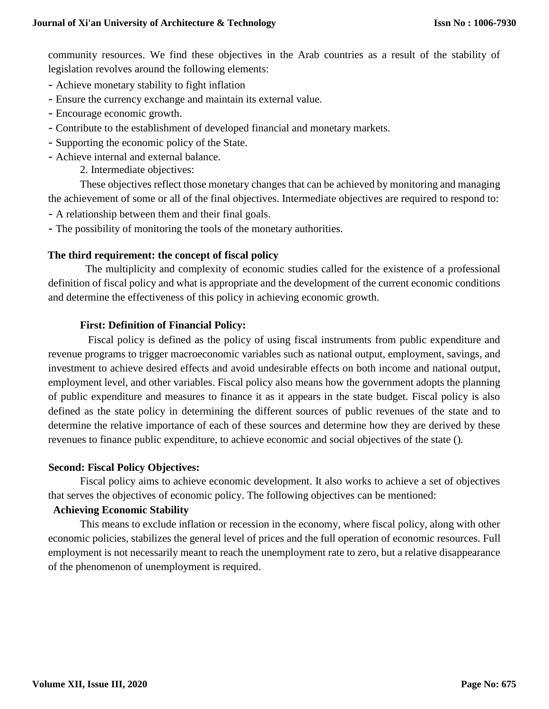community resources. We find these objectives in the Arab countries as a result of the stability of legislation revolves around the following elements:

- Achieve monetary stability to fight inflation
- Ensure the currency exchange and maintain its external value.
- Encourage economic growth.
- Contribute to the establishment of developed financial and monetary markets.
- Supporting the economic policy of the State.
- Achieve internal and external balance.
	- 2. Intermediate objectives:

These objectives reflect those monetary changes that can be achieved by monitoring and managing the achievement of some or all of the final objectives. Intermediate objectives are required to respond to:

- A relationship between them and their final goals.
- The possibility of monitoring the tools of the monetary authorities.

### **The third requirement: the concept of fiscal policy**

 The multiplicity and complexity of economic studies called for the existence of a professional definition of fiscal policy and what is appropriate and the development of the current economic conditions and determine the effectiveness of this policy in achieving economic growth.

### **First: Definition of Financial Policy:**

 Fiscal policy is defined as the policy of using fiscal instruments from public expenditure and revenue programs to trigger macroeconomic variables such as national output, employment, savings, and investment to achieve desired effects and avoid undesirable effects on both income and national output, employment level, and other variables. Fiscal policy also means how the government adopts the planning of public expenditure and measures to finance it as it appears in the state budget. Fiscal policy is also defined as the state policy in determining the different sources of public revenues of the state and to determine the relative importance of each of these sources and determine how they are derived by these revenues to finance public expenditure, to achieve economic and social objectives of the state ().

### **Second: Fiscal Policy Objectives:**

Fiscal policy aims to achieve economic development. It also works to achieve a set of objectives that serves the objectives of economic policy. The following objectives can be mentioned:

### **Achieving Economic Stability**

This means to exclude inflation or recession in the economy, where fiscal policy, along with other economic policies, stabilizes the general level of prices and the full operation of economic resources. Full employment is not necessarily meant to reach the unemployment rate to zero, but a relative disappearance of the phenomenon of unemployment is required.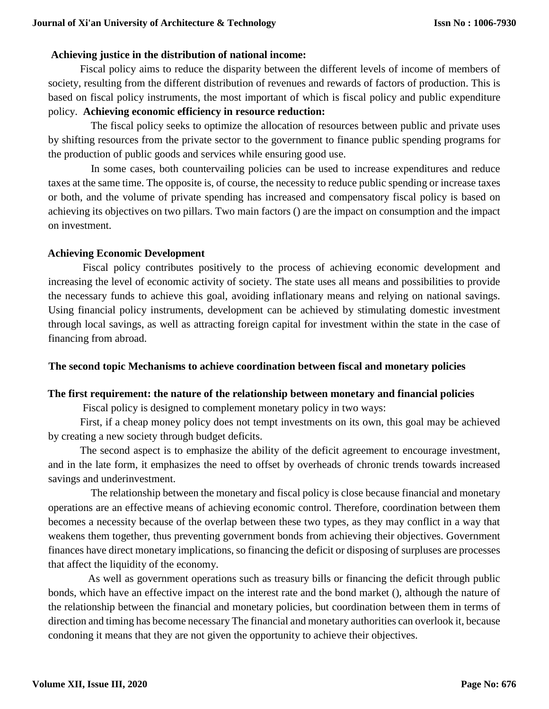### **Achieving justice in the distribution of national income:**

Fiscal policy aims to reduce the disparity between the different levels of income of members of society, resulting from the different distribution of revenues and rewards of factors of production. This is based on fiscal policy instruments, the most important of which is fiscal policy and public expenditure policy. **Achieving economic efficiency in resource reduction:** 

 The fiscal policy seeks to optimize the allocation of resources between public and private uses by shifting resources from the private sector to the government to finance public spending programs for the production of public goods and services while ensuring good use.

 In some cases, both countervailing policies can be used to increase expenditures and reduce taxes at the same time. The opposite is, of course, the necessity to reduce public spending or increase taxes or both, and the volume of private spending has increased and compensatory fiscal policy is based on achieving its objectives on two pillars. Two main factors () are the impact on consumption and the impact on investment.

### **Achieving Economic Development**

Fiscal policy contributes positively to the process of achieving economic development and increasing the level of economic activity of society. The state uses all means and possibilities to provide the necessary funds to achieve this goal, avoiding inflationary means and relying on national savings. Using financial policy instruments, development can be achieved by stimulating domestic investment through local savings, as well as attracting foreign capital for investment within the state in the case of financing from abroad.

# **The second topic Mechanisms to achieve coordination between fiscal and monetary policies**

# **The first requirement: the nature of the relationship between monetary and financial policies**

Fiscal policy is designed to complement monetary policy in two ways:

First, if a cheap money policy does not tempt investments on its own, this goal may be achieved by creating a new society through budget deficits.

The second aspect is to emphasize the ability of the deficit agreement to encourage investment, and in the late form, it emphasizes the need to offset by overheads of chronic trends towards increased savings and underinvestment.

 The relationship between the monetary and fiscal policy is close because financial and monetary operations are an effective means of achieving economic control. Therefore, coordination between them becomes a necessity because of the overlap between these two types, as they may conflict in a way that weakens them together, thus preventing government bonds from achieving their objectives. Government finances have direct monetary implications, so financing the deficit or disposing of surpluses are processes that affect the liquidity of the economy.

 As well as government operations such as treasury bills or financing the deficit through public bonds, which have an effective impact on the interest rate and the bond market (), although the nature of the relationship between the financial and monetary policies, but coordination between them in terms of direction and timing has become necessary The financial and monetary authorities can overlook it, because condoning it means that they are not given the opportunity to achieve their objectives.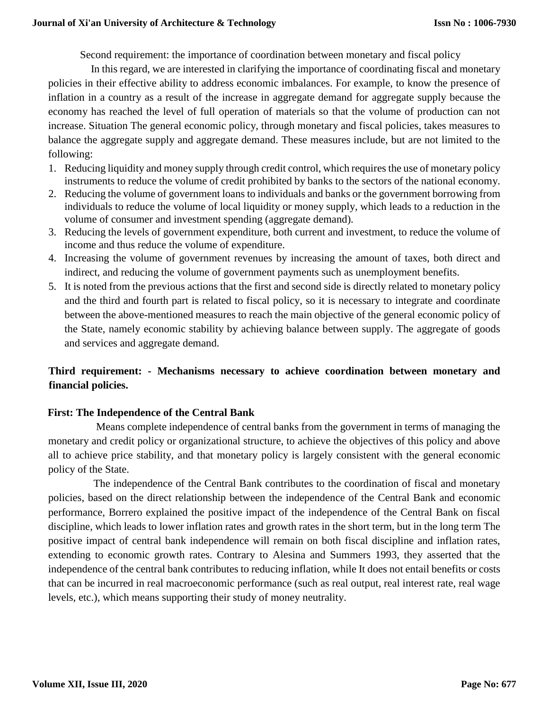Second requirement: the importance of coordination between monetary and fiscal policy

 In this regard, we are interested in clarifying the importance of coordinating fiscal and monetary policies in their effective ability to address economic imbalances. For example, to know the presence of inflation in a country as a result of the increase in aggregate demand for aggregate supply because the economy has reached the level of full operation of materials so that the volume of production can not increase. Situation The general economic policy, through monetary and fiscal policies, takes measures to balance the aggregate supply and aggregate demand. These measures include, but are not limited to the following:

- 1. Reducing liquidity and money supply through credit control, which requires the use of monetary policy instruments to reduce the volume of credit prohibited by banks to the sectors of the national economy.
- 2. Reducing the volume of government loans to individuals and banks or the government borrowing from individuals to reduce the volume of local liquidity or money supply, which leads to a reduction in the volume of consumer and investment spending (aggregate demand).
- 3. Reducing the levels of government expenditure, both current and investment, to reduce the volume of income and thus reduce the volume of expenditure.
- 4. Increasing the volume of government revenues by increasing the amount of taxes, both direct and indirect, and reducing the volume of government payments such as unemployment benefits.
- 5. It is noted from the previous actions that the first and second side is directly related to monetary policy and the third and fourth part is related to fiscal policy, so it is necessary to integrate and coordinate between the above-mentioned measures to reach the main objective of the general economic policy of the State, namely economic stability by achieving balance between supply. The aggregate of goods and services and aggregate demand.

# **Third requirement: - Mechanisms necessary to achieve coordination between monetary and financial policies.**

# **First: The Independence of the Central Bank**

 Means complete independence of central banks from the government in terms of managing the monetary and credit policy or organizational structure, to achieve the objectives of this policy and above all to achieve price stability, and that monetary policy is largely consistent with the general economic policy of the State.

 The independence of the Central Bank contributes to the coordination of fiscal and monetary policies, based on the direct relationship between the independence of the Central Bank and economic performance, Borrero explained the positive impact of the independence of the Central Bank on fiscal discipline, which leads to lower inflation rates and growth rates in the short term, but in the long term The positive impact of central bank independence will remain on both fiscal discipline and inflation rates, extending to economic growth rates. Contrary to Alesina and Summers 1993, they asserted that the independence of the central bank contributes to reducing inflation, while It does not entail benefits or costs that can be incurred in real macroeconomic performance (such as real output, real interest rate, real wage levels, etc.), which means supporting their study of money neutrality.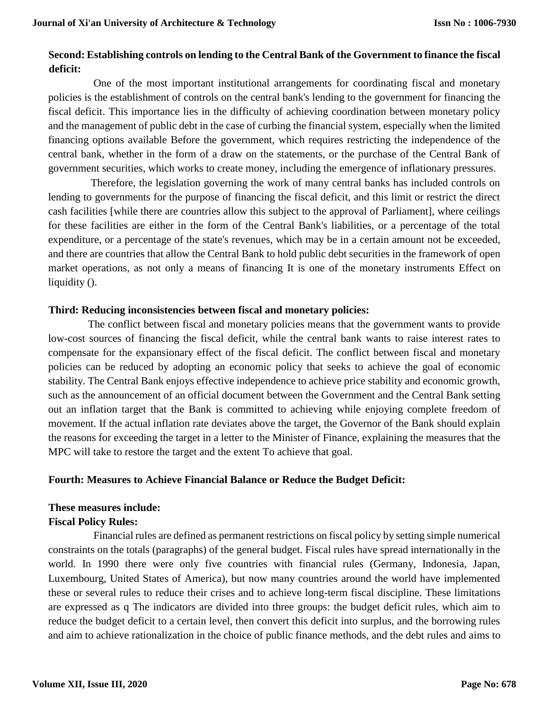# **Second: Establishing controls on lending to the Central Bank of the Government to finance the fiscal deficit:**

 One of the most important institutional arrangements for coordinating fiscal and monetary policies is the establishment of controls on the central bank's lending to the government for financing the fiscal deficit. This importance lies in the difficulty of achieving coordination between monetary policy and the management of public debt in the case of curbing the financial system, especially when the limited financing options available Before the government, which requires restricting the independence of the central bank, whether in the form of a draw on the statements, or the purchase of the Central Bank of government securities, which works to create money, including the emergence of inflationary pressures.

 Therefore, the legislation governing the work of many central banks has included controls on lending to governments for the purpose of financing the fiscal deficit, and this limit or restrict the direct cash facilities [while there are countries allow this subject to the approval of Parliament], where ceilings for these facilities are either in the form of the Central Bank's liabilities, or a percentage of the total expenditure, or a percentage of the state's revenues, which may be in a certain amount not be exceeded, and there are countries that allow the Central Bank to hold public debt securities in the framework of open market operations, as not only a means of financing It is one of the monetary instruments Effect on liquidity ().

# **Third: Reducing inconsistencies between fiscal and monetary policies:**

 The conflict between fiscal and monetary policies means that the government wants to provide low-cost sources of financing the fiscal deficit, while the central bank wants to raise interest rates to compensate for the expansionary effect of the fiscal deficit. The conflict between fiscal and monetary policies can be reduced by adopting an economic policy that seeks to achieve the goal of economic stability. The Central Bank enjoys effective independence to achieve price stability and economic growth, such as the announcement of an official document between the Government and the Central Bank setting out an inflation target that the Bank is committed to achieving while enjoying complete freedom of movement. If the actual inflation rate deviates above the target, the Governor of the Bank should explain the reasons for exceeding the target in a letter to the Minister of Finance, explaining the measures that the MPC will take to restore the target and the extent To achieve that goal.

# **Fourth: Measures to Achieve Financial Balance or Reduce the Budget Deficit:**

# **These measures include:**

# **Fiscal Policy Rules:**

 Financial rules are defined as permanent restrictions on fiscal policy by setting simple numerical constraints on the totals (paragraphs) of the general budget. Fiscal rules have spread internationally in the world. In 1990 there were only five countries with financial rules (Germany, Indonesia, Japan, Luxembourg, United States of America), but now many countries around the world have implemented these or several rules to reduce their crises and to achieve long-term fiscal discipline. These limitations are expressed as q The indicators are divided into three groups: the budget deficit rules, which aim to reduce the budget deficit to a certain level, then convert this deficit into surplus, and the borrowing rules and aim to achieve rationalization in the choice of public finance methods, and the debt rules and aims to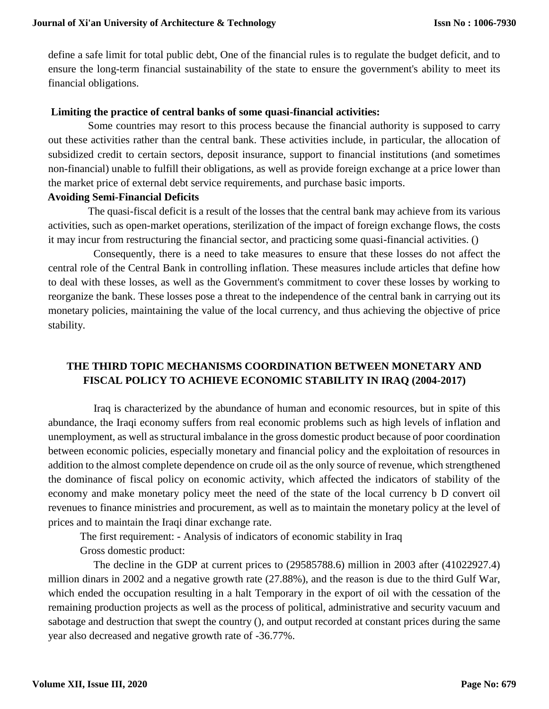define a safe limit for total public debt, One of the financial rules is to regulate the budget deficit, and to ensure the long-term financial sustainability of the state to ensure the government's ability to meet its financial obligations.

### **Limiting the practice of central banks of some quasi-financial activities:**

 Some countries may resort to this process because the financial authority is supposed to carry out these activities rather than the central bank. These activities include, in particular, the allocation of subsidized credit to certain sectors, deposit insurance, support to financial institutions (and sometimes non-financial) unable to fulfill their obligations, as well as provide foreign exchange at a price lower than the market price of external debt service requirements, and purchase basic imports.

### **Avoiding Semi-Financial Deficits**

 The quasi-fiscal deficit is a result of the losses that the central bank may achieve from its various activities, such as open-market operations, sterilization of the impact of foreign exchange flows, the costs it may incur from restructuring the financial sector, and practicing some quasi-financial activities. ()

 Consequently, there is a need to take measures to ensure that these losses do not affect the central role of the Central Bank in controlling inflation. These measures include articles that define how to deal with these losses, as well as the Government's commitment to cover these losses by working to reorganize the bank. These losses pose a threat to the independence of the central bank in carrying out its monetary policies, maintaining the value of the local currency, and thus achieving the objective of price stability.

# **THE THIRD TOPIC MECHANISMS COORDINATION BETWEEN MONETARY AND FISCAL POLICY TO ACHIEVE ECONOMIC STABILITY IN IRAQ (2004-2017)**

 Iraq is characterized by the abundance of human and economic resources, but in spite of this abundance, the Iraqi economy suffers from real economic problems such as high levels of inflation and unemployment, as well as structural imbalance in the gross domestic product because of poor coordination between economic policies, especially monetary and financial policy and the exploitation of resources in addition to the almost complete dependence on crude oil as the only source of revenue, which strengthened the dominance of fiscal policy on economic activity, which affected the indicators of stability of the economy and make monetary policy meet the need of the state of the local currency b D convert oil revenues to finance ministries and procurement, as well as to maintain the monetary policy at the level of prices and to maintain the Iraqi dinar exchange rate.

The first requirement: - Analysis of indicators of economic stability in Iraq

Gross domestic product:

 The decline in the GDP at current prices to (29585788.6) million in 2003 after (41022927.4) million dinars in 2002 and a negative growth rate (27.88%), and the reason is due to the third Gulf War, which ended the occupation resulting in a halt Temporary in the export of oil with the cessation of the remaining production projects as well as the process of political, administrative and security vacuum and sabotage and destruction that swept the country (), and output recorded at constant prices during the same year also decreased and negative growth rate of -36.77%.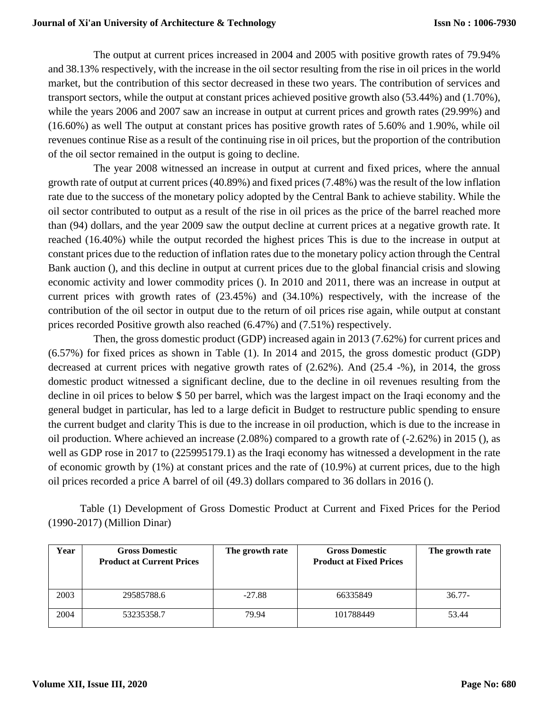The output at current prices increased in 2004 and 2005 with positive growth rates of 79.94% and 38.13% respectively, with the increase in the oil sector resulting from the rise in oil prices in the world market, but the contribution of this sector decreased in these two years. The contribution of services and transport sectors, while the output at constant prices achieved positive growth also (53.44%) and (1.70%), while the years 2006 and 2007 saw an increase in output at current prices and growth rates (29.99%) and (16.60%) as well The output at constant prices has positive growth rates of 5.60% and 1.90%, while oil revenues continue Rise as a result of the continuing rise in oil prices, but the proportion of the contribution of the oil sector remained in the output is going to decline.

 The year 2008 witnessed an increase in output at current and fixed prices, where the annual growth rate of output at current prices (40.89%) and fixed prices (7.48%) was the result of the low inflation rate due to the success of the monetary policy adopted by the Central Bank to achieve stability. While the oil sector contributed to output as a result of the rise in oil prices as the price of the barrel reached more than (94) dollars, and the year 2009 saw the output decline at current prices at a negative growth rate. It reached (16.40%) while the output recorded the highest prices This is due to the increase in output at constant prices due to the reduction of inflation rates due to the monetary policy action through the Central Bank auction (), and this decline in output at current prices due to the global financial crisis and slowing economic activity and lower commodity prices (). In 2010 and 2011, there was an increase in output at current prices with growth rates of (23.45%) and (34.10%) respectively, with the increase of the contribution of the oil sector in output due to the return of oil prices rise again, while output at constant prices recorded Positive growth also reached (6.47%) and (7.51%) respectively.

 Then, the gross domestic product (GDP) increased again in 2013 (7.62%) for current prices and (6.57%) for fixed prices as shown in Table (1). In 2014 and 2015, the gross domestic product (GDP) decreased at current prices with negative growth rates of (2.62%). And (25.4 -%), in 2014, the gross domestic product witnessed a significant decline, due to the decline in oil revenues resulting from the decline in oil prices to below \$ 50 per barrel, which was the largest impact on the Iraqi economy and the general budget in particular, has led to a large deficit in Budget to restructure public spending to ensure the current budget and clarity This is due to the increase in oil production, which is due to the increase in oil production. Where achieved an increase (2.08%) compared to a growth rate of (-2.62%) in 2015 (), as well as GDP rose in 2017 to (225995179.1) as the Iraqi economy has witnessed a development in the rate of economic growth by (1%) at constant prices and the rate of (10.9%) at current prices, due to the high oil prices recorded a price A barrel of oil (49.3) dollars compared to 36 dollars in 2016 ().

Table (1) Development of Gross Domestic Product at Current and Fixed Prices for the Period (1990-2017) (Million Dinar)

| Year | <b>Gross Domestic</b><br><b>Product at Current Prices</b> | The growth rate | <b>Gross Domestic</b><br><b>Product at Fixed Prices</b> | The growth rate |
|------|-----------------------------------------------------------|-----------------|---------------------------------------------------------|-----------------|
| 2003 | 29585788.6                                                | $-27.88$        | 66335849                                                | $36.77-$        |
| 2004 | 53235358.7                                                | 79.94           | 101788449                                               | 53.44           |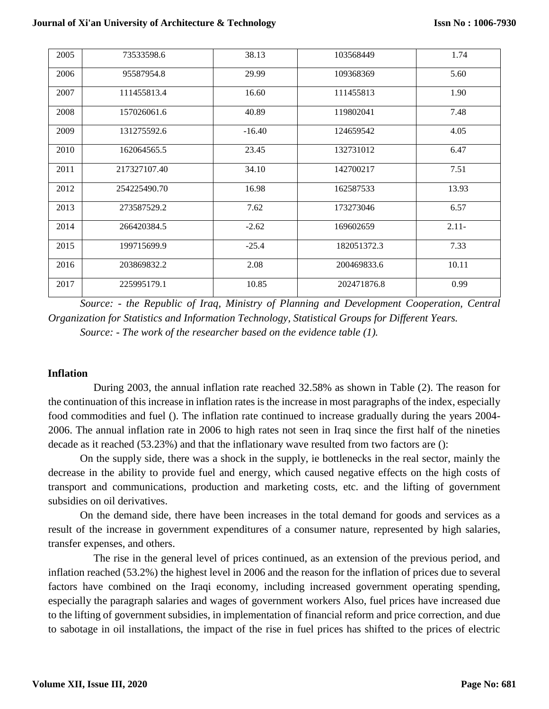| 2005 | 73533598.6   | 38.13    | 103568449   | 1.74    |
|------|--------------|----------|-------------|---------|
| 2006 | 95587954.8   | 29.99    | 109368369   | 5.60    |
| 2007 | 111455813.4  | 16.60    | 111455813   | 1.90    |
| 2008 | 157026061.6  | 40.89    | 119802041   | 7.48    |
| 2009 | 131275592.6  | $-16.40$ | 124659542   | 4.05    |
| 2010 | 162064565.5  | 23.45    | 132731012   | 6.47    |
| 2011 | 217327107.40 | 34.10    | 142700217   | 7.51    |
| 2012 | 254225490.70 | 16.98    | 162587533   | 13.93   |
| 2013 | 273587529.2  | 7.62     | 173273046   | 6.57    |
| 2014 | 266420384.5  | $-2.62$  | 169602659   | $2.11-$ |
| 2015 | 199715699.9  | $-25.4$  | 182051372.3 | 7.33    |
| 2016 | 203869832.2  | 2.08     | 200469833.6 | 10.11   |
| 2017 | 225995179.1  | 10.85    | 202471876.8 | 0.99    |

*Source: - the Republic of Iraq, Ministry of Planning and Development Cooperation, Central Organization for Statistics and Information Technology, Statistical Groups for Different Years. Source: - The work of the researcher based on the evidence table (1).*

#### **Inflation**

 During 2003, the annual inflation rate reached 32.58% as shown in Table (2). The reason for the continuation of this increase in inflation rates is the increase in most paragraphs of the index, especially food commodities and fuel (). The inflation rate continued to increase gradually during the years 2004- 2006. The annual inflation rate in 2006 to high rates not seen in Iraq since the first half of the nineties decade as it reached (53.23%) and that the inflationary wave resulted from two factors are ():

On the supply side, there was a shock in the supply, ie bottlenecks in the real sector, mainly the decrease in the ability to provide fuel and energy, which caused negative effects on the high costs of transport and communications, production and marketing costs, etc. and the lifting of government subsidies on oil derivatives.

On the demand side, there have been increases in the total demand for goods and services as a result of the increase in government expenditures of a consumer nature, represented by high salaries, transfer expenses, and others.

 The rise in the general level of prices continued, as an extension of the previous period, and inflation reached (53.2%) the highest level in 2006 and the reason for the inflation of prices due to several factors have combined on the Iraqi economy, including increased government operating spending, especially the paragraph salaries and wages of government workers Also, fuel prices have increased due to the lifting of government subsidies, in implementation of financial reform and price correction, and due to sabotage in oil installations, the impact of the rise in fuel prices has shifted to the prices of electric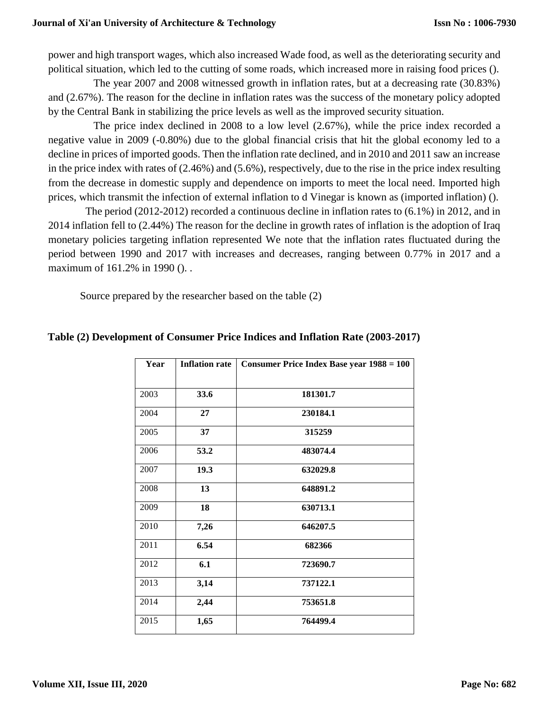power and high transport wages, which also increased Wade food, as well as the deteriorating security and political situation, which led to the cutting of some roads, which increased more in raising food prices ().

 The year 2007 and 2008 witnessed growth in inflation rates, but at a decreasing rate (30.83%) and (2.67%). The reason for the decline in inflation rates was the success of the monetary policy adopted by the Central Bank in stabilizing the price levels as well as the improved security situation.

 The price index declined in 2008 to a low level (2.67%), while the price index recorded a negative value in 2009 (-0.80%) due to the global financial crisis that hit the global economy led to a decline in prices of imported goods. Then the inflation rate declined, and in 2010 and 2011 saw an increase in the price index with rates of (2.46%) and (5.6%), respectively, due to the rise in the price index resulting from the decrease in domestic supply and dependence on imports to meet the local need. Imported high prices, which transmit the infection of external inflation to d Vinegar is known as (imported inflation) ().

 The period (2012-2012) recorded a continuous decline in inflation rates to (6.1%) in 2012, and in 2014 inflation fell to (2.44%) The reason for the decline in growth rates of inflation is the adoption of Iraq monetary policies targeting inflation represented We note that the inflation rates fluctuated during the period between 1990 and 2017 with increases and decreases, ranging between 0.77% in 2017 and a maximum of 161.2% in 1990 (). .

Source prepared by the researcher based on the table (2)

| Year | <b>Inflation rate</b> | <b>Consumer Price Index Base year 1988 = 100</b> |  |
|------|-----------------------|--------------------------------------------------|--|
|      |                       |                                                  |  |
| 2003 | 33.6                  | 181301.7                                         |  |
| 2004 | 27                    | 230184.1                                         |  |
| 2005 | 37                    | 315259                                           |  |
| 2006 | 53.2                  | 483074.4                                         |  |
| 2007 | 19.3                  | 632029.8                                         |  |
| 2008 | 13                    | 648891.2                                         |  |
| 2009 | 18                    | 630713.1                                         |  |
| 2010 | 7,26                  | 646207.5                                         |  |
| 2011 | 6.54                  | 682366                                           |  |
| 2012 | 6.1                   | 723690.7                                         |  |
| 2013 | 3,14                  | 737122.1                                         |  |
| 2014 | 2,44                  | 753651.8                                         |  |
| 2015 | 1,65                  | 764499.4                                         |  |

# **Table (2) Development of Consumer Price Indices and Inflation Rate (2003-2017)**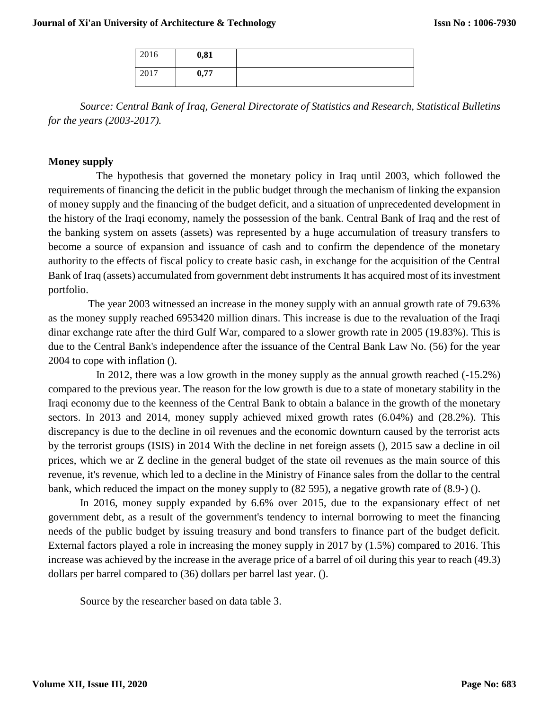| 2016 | 0,81 |  |
|------|------|--|
| 2017 | 0,77 |  |

*Source: Central Bank of Iraq, General Directorate of Statistics and Research, Statistical Bulletins for the years (2003-2017).* 

### **Money supply**

 The hypothesis that governed the monetary policy in Iraq until 2003, which followed the requirements of financing the deficit in the public budget through the mechanism of linking the expansion of money supply and the financing of the budget deficit, and a situation of unprecedented development in the history of the Iraqi economy, namely the possession of the bank. Central Bank of Iraq and the rest of the banking system on assets (assets) was represented by a huge accumulation of treasury transfers to become a source of expansion and issuance of cash and to confirm the dependence of the monetary authority to the effects of fiscal policy to create basic cash, in exchange for the acquisition of the Central Bank of Iraq (assets) accumulated from government debt instruments It has acquired most of its investment portfolio.

 The year 2003 witnessed an increase in the money supply with an annual growth rate of 79.63% as the money supply reached 6953420 million dinars. This increase is due to the revaluation of the Iraqi dinar exchange rate after the third Gulf War, compared to a slower growth rate in 2005 (19.83%). This is due to the Central Bank's independence after the issuance of the Central Bank Law No. (56) for the year 2004 to cope with inflation ().

 In 2012, there was a low growth in the money supply as the annual growth reached (-15.2%) compared to the previous year. The reason for the low growth is due to a state of monetary stability in the Iraqi economy due to the keenness of the Central Bank to obtain a balance in the growth of the monetary sectors. In 2013 and 2014, money supply achieved mixed growth rates (6.04%) and (28.2%). This discrepancy is due to the decline in oil revenues and the economic downturn caused by the terrorist acts by the terrorist groups (ISIS) in 2014 With the decline in net foreign assets (), 2015 saw a decline in oil prices, which we ar Z decline in the general budget of the state oil revenues as the main source of this revenue, it's revenue, which led to a decline in the Ministry of Finance sales from the dollar to the central bank, which reduced the impact on the money supply to (82 595), a negative growth rate of (8.9-) ().

In 2016, money supply expanded by 6.6% over 2015, due to the expansionary effect of net government debt, as a result of the government's tendency to internal borrowing to meet the financing needs of the public budget by issuing treasury and bond transfers to finance part of the budget deficit. External factors played a role in increasing the money supply in 2017 by (1.5%) compared to 2016. This increase was achieved by the increase in the average price of a barrel of oil during this year to reach (49.3) dollars per barrel compared to (36) dollars per barrel last year. ().

Source by the researcher based on data table 3.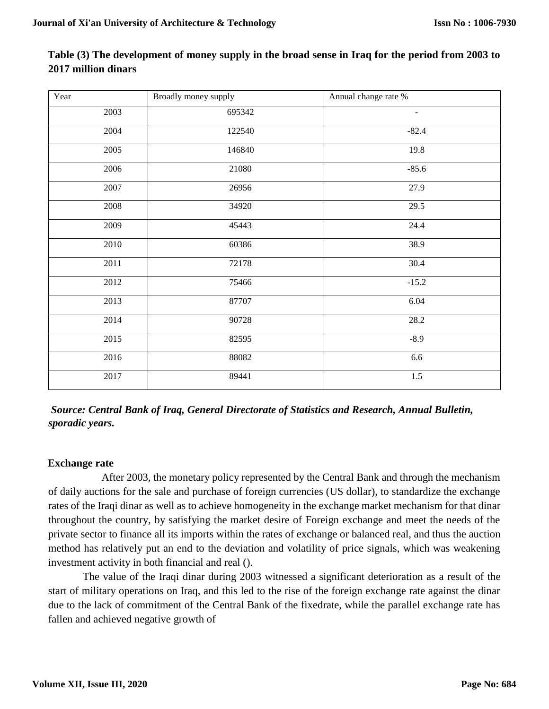| Year | Broadly money supply | Annual change rate %     |
|------|----------------------|--------------------------|
| 2003 | 695342               | $\overline{\phantom{a}}$ |
| 2004 | 122540               | $-82.4$                  |
| 2005 | 146840               | 19.8                     |
| 2006 | 21080                | $-85.6$                  |
| 2007 | 26956                | 27.9                     |
| 2008 | 34920                | 29.5                     |
| 2009 | 45443                | 24.4                     |
| 2010 | 60386                | 38.9                     |
| 2011 | 72178                | 30.4                     |
| 2012 | 75466                | $-15.2$                  |
| 2013 | 87707                | 6.04                     |
| 2014 | 90728                | 28.2                     |
| 2015 | 82595                | $-8.9$                   |
| 2016 | 88082                | 6.6                      |
| 2017 | 89441                | $1.5$                    |

# **Table (3) The development of money supply in the broad sense in Iraq for the period from 2003 to 2017 million dinars**

*Source: Central Bank of Iraq, General Directorate of Statistics and Research, Annual Bulletin, sporadic years.* 

# **Exchange rate**

 After 2003, the monetary policy represented by the Central Bank and through the mechanism of daily auctions for the sale and purchase of foreign currencies (US dollar), to standardize the exchange rates of the Iraqi dinar as well as to achieve homogeneity in the exchange market mechanism for that dinar throughout the country, by satisfying the market desire of Foreign exchange and meet the needs of the private sector to finance all its imports within the rates of exchange or balanced real, and thus the auction method has relatively put an end to the deviation and volatility of price signals, which was weakening investment activity in both financial and real ().

The value of the Iraqi dinar during 2003 witnessed a significant deterioration as a result of the start of military operations on Iraq, and this led to the rise of the foreign exchange rate against the dinar due to the lack of commitment of the Central Bank of the fixedrate, while the parallel exchange rate has fallen and achieved negative growth of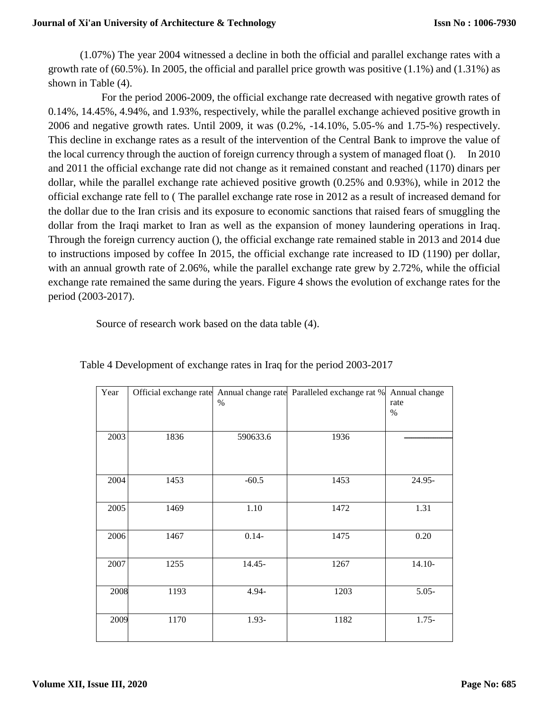### **Journal of Xi'an University of Architecture & Technology**

(1.07%) The year 2004 witnessed a decline in both the official and parallel exchange rates with a growth rate of (60.5%). In 2005, the official and parallel price growth was positive (1.1%) and (1.31%) as shown in Table (4).

 For the period 2006-2009, the official exchange rate decreased with negative growth rates of 0.14%, 14.45%, 4.94%, and 1.93%, respectively, while the parallel exchange achieved positive growth in 2006 and negative growth rates. Until 2009, it was (0.2%, -14.10%, 5.05-% and 1.75-%) respectively. This decline in exchange rates as a result of the intervention of the Central Bank to improve the value of the local currency through the auction of foreign currency through a system of managed float (). In 2010 and 2011 the official exchange rate did not change as it remained constant and reached (1170) dinars per dollar, while the parallel exchange rate achieved positive growth (0.25% and 0.93%), while in 2012 the official exchange rate fell to ( The parallel exchange rate rose in 2012 as a result of increased demand for the dollar due to the Iran crisis and its exposure to economic sanctions that raised fears of smuggling the dollar from the Iraqi market to Iran as well as the expansion of money laundering operations in Iraq. Through the foreign currency auction (), the official exchange rate remained stable in 2013 and 2014 due to instructions imposed by coffee In 2015, the official exchange rate increased to ID (1190) per dollar, with an annual growth rate of 2.06%, while the parallel exchange rate grew by 2.72%, while the official exchange rate remained the same during the years. Figure 4 shows the evolution of exchange rates for the period (2003-2017).

Source of research work based on the data table (4).

| Year | Official exchange rate | $\%$     | Annual change rate Paralleled exchange rat % Annual change | rate<br>$\%$ |
|------|------------------------|----------|------------------------------------------------------------|--------------|
|      |                        |          |                                                            |              |
| 2003 | 1836                   | 590633.6 | 1936                                                       |              |
|      |                        |          |                                                            |              |
| 2004 | 1453                   | $-60.5$  | 1453                                                       | 24.95-       |
| 2005 | 1469                   | 1.10     | 1472                                                       | 1.31         |
| 2006 | 1467                   | $0.14 -$ | 1475                                                       | 0.20         |
| 2007 | 1255                   | 14.45-   | 1267                                                       | $14.10-$     |
| 2008 | 1193                   | 4.94-    | 1203                                                       | $5.05 -$     |
| 2009 | 1170                   | 1.93-    | 1182                                                       | $1.75 -$     |

Table 4 Development of exchange rates in Iraq for the period 2003-2017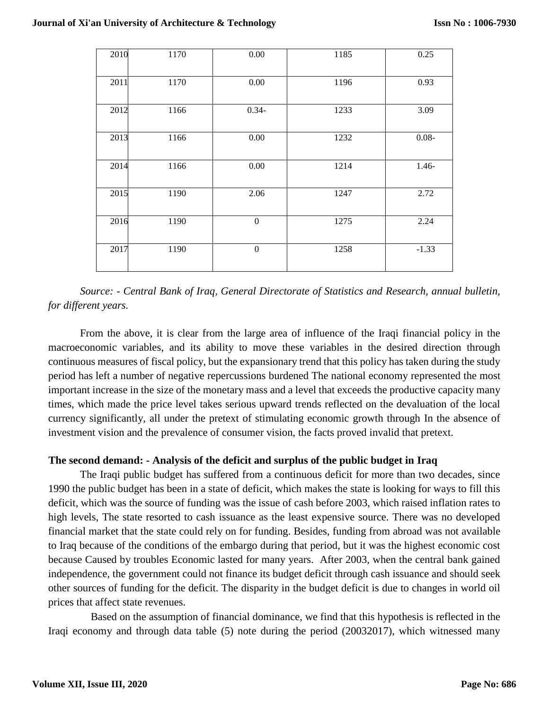| 2010 | 1170 | $0.00\,$         | 1185 | 0.25     |
|------|------|------------------|------|----------|
| 2011 | 1170 | 0.00             | 1196 | 0.93     |
| 2012 | 1166 | $0.34 -$         | 1233 | 3.09     |
| 2013 | 1166 | 0.00             | 1232 | $0.08 -$ |
| 2014 | 1166 | 0.00             | 1214 | $1.46-$  |
| 2015 | 1190 | 2.06             | 1247 | 2.72     |
| 2016 | 1190 | $\boldsymbol{0}$ | 1275 | 2.24     |
| 2017 | 1190 | $\boldsymbol{0}$ | 1258 | $-1.33$  |

*Source: - Central Bank of Iraq, General Directorate of Statistics and Research, annual bulletin, for different years.* 

From the above, it is clear from the large area of influence of the Iraqi financial policy in the macroeconomic variables, and its ability to move these variables in the desired direction through continuous measures of fiscal policy, but the expansionary trend that this policy has taken during the study period has left a number of negative repercussions burdened The national economy represented the most important increase in the size of the monetary mass and a level that exceeds the productive capacity many times, which made the price level takes serious upward trends reflected on the devaluation of the local currency significantly, all under the pretext of stimulating economic growth through In the absence of investment vision and the prevalence of consumer vision, the facts proved invalid that pretext.

# **The second demand: - Analysis of the deficit and surplus of the public budget in Iraq**

The Iraqi public budget has suffered from a continuous deficit for more than two decades, since 1990 the public budget has been in a state of deficit, which makes the state is looking for ways to fill this deficit, which was the source of funding was the issue of cash before 2003, which raised inflation rates to high levels, The state resorted to cash issuance as the least expensive source. There was no developed financial market that the state could rely on for funding. Besides, funding from abroad was not available to Iraq because of the conditions of the embargo during that period, but it was the highest economic cost because Caused by troubles Economic lasted for many years. After 2003, when the central bank gained independence, the government could not finance its budget deficit through cash issuance and should seek other sources of funding for the deficit. The disparity in the budget deficit is due to changes in world oil prices that affect state revenues.

 Based on the assumption of financial dominance, we find that this hypothesis is reflected in the Iraqi economy and through data table (5) note during the period (20032017), which witnessed many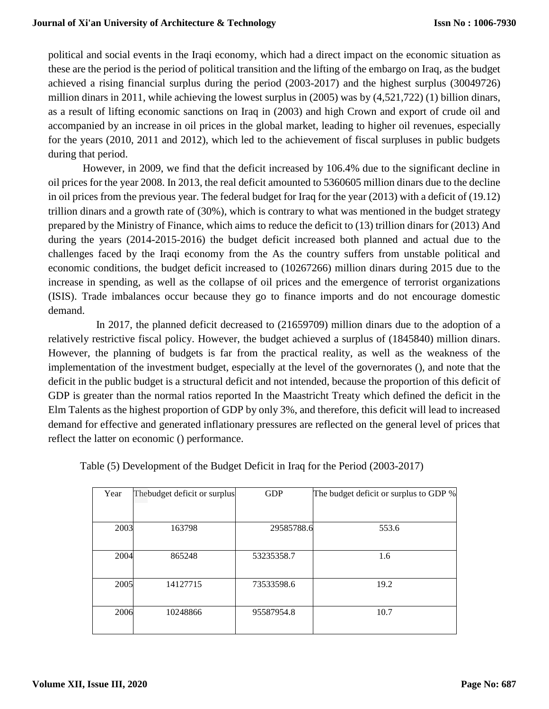political and social events in the Iraqi economy, which had a direct impact on the economic situation as these are the period is the period of political transition and the lifting of the embargo on Iraq, as the budget achieved a rising financial surplus during the period (2003-2017) and the highest surplus (30049726) million dinars in 2011, while achieving the lowest surplus in (2005) was by (4,521,722) (1) billion dinars, as a result of lifting economic sanctions on Iraq in (2003) and high Crown and export of crude oil and accompanied by an increase in oil prices in the global market, leading to higher oil revenues, especially for the years (2010, 2011 and 2012), which led to the achievement of fiscal surpluses in public budgets during that period.

However, in 2009, we find that the deficit increased by 106.4% due to the significant decline in oil prices for the year 2008. In 2013, the real deficit amounted to 5360605 million dinars due to the decline in oil prices from the previous year. The federal budget for Iraq for the year (2013) with a deficit of (19.12) trillion dinars and a growth rate of (30%), which is contrary to what was mentioned in the budget strategy prepared by the Ministry of Finance, which aims to reduce the deficit to (13) trillion dinars for (2013) And during the years (2014-2015-2016) the budget deficit increased both planned and actual due to the challenges faced by the Iraqi economy from the As the country suffers from unstable political and economic conditions, the budget deficit increased to (10267266) million dinars during 2015 due to the increase in spending, as well as the collapse of oil prices and the emergence of terrorist organizations (ISIS). Trade imbalances occur because they go to finance imports and do not encourage domestic demand.

 In 2017, the planned deficit decreased to (21659709) million dinars due to the adoption of a relatively restrictive fiscal policy. However, the budget achieved a surplus of (1845840) million dinars. However, the planning of budgets is far from the practical reality, as well as the weakness of the implementation of the investment budget, especially at the level of the governorates (), and note that the deficit in the public budget is a structural deficit and not intended, because the proportion of this deficit of GDP is greater than the normal ratios reported In the Maastricht Treaty which defined the deficit in the Elm Talents as the highest proportion of GDP by only 3%, and therefore, this deficit will lead to increased demand for effective and generated inflationary pressures are reflected on the general level of prices that reflect the latter on economic () performance.

| Year | Thebudget deficit or surplus | <b>GDP</b> | The budget deficit or surplus to GDP % |
|------|------------------------------|------------|----------------------------------------|
|      |                              |            |                                        |
| 2003 | 163798                       | 29585788.6 | 553.6                                  |
| 2004 | 865248                       | 53235358.7 | 1.6                                    |
| 2005 | 14127715                     | 73533598.6 | 19.2                                   |
| 2006 | 10248866                     | 95587954.8 | 10.7                                   |

Table (5) Development of the Budget Deficit in Iraq for the Period (2003-2017)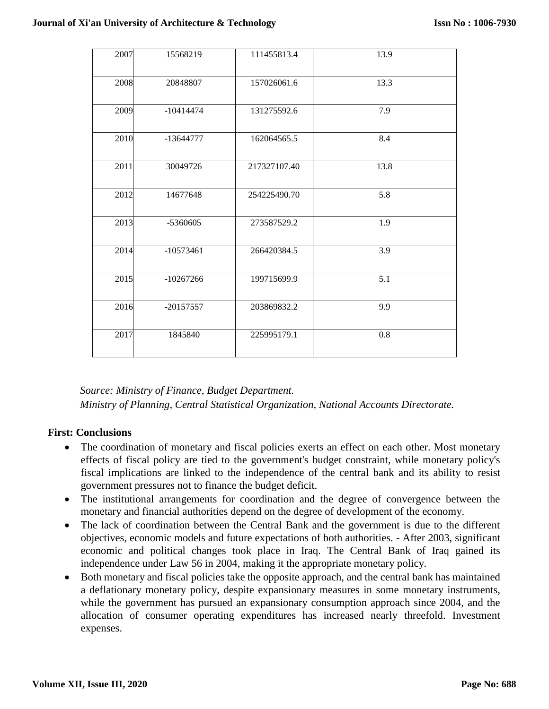| 13.9<br>2007<br>111455813.4<br>15568219<br>2008<br>13.3<br>20848807<br>157026061.6<br>2009<br>7.9<br>$-10414474$<br>131275592.6<br>2010<br>8.4<br>$-13644777$<br>162064565.5<br>13.8<br>2011<br>30049726<br>217327107.40<br>2012<br>5.8<br>14677648<br>254225490.70<br>2013<br>1.9<br>-5360605<br>273587529.2<br>2014<br>3.9<br>$-10573461$<br>266420384.5<br>5.1<br>2015<br>$-10267266$<br>199715699.9<br>2016<br>203869832.2<br>9.9<br>$-20157557$<br>2017<br>$0.8\,$<br>1845840<br>225995179.1 |  |  |  |
|---------------------------------------------------------------------------------------------------------------------------------------------------------------------------------------------------------------------------------------------------------------------------------------------------------------------------------------------------------------------------------------------------------------------------------------------------------------------------------------------------|--|--|--|
|                                                                                                                                                                                                                                                                                                                                                                                                                                                                                                   |  |  |  |
|                                                                                                                                                                                                                                                                                                                                                                                                                                                                                                   |  |  |  |
|                                                                                                                                                                                                                                                                                                                                                                                                                                                                                                   |  |  |  |
|                                                                                                                                                                                                                                                                                                                                                                                                                                                                                                   |  |  |  |
|                                                                                                                                                                                                                                                                                                                                                                                                                                                                                                   |  |  |  |
|                                                                                                                                                                                                                                                                                                                                                                                                                                                                                                   |  |  |  |
|                                                                                                                                                                                                                                                                                                                                                                                                                                                                                                   |  |  |  |
|                                                                                                                                                                                                                                                                                                                                                                                                                                                                                                   |  |  |  |
|                                                                                                                                                                                                                                                                                                                                                                                                                                                                                                   |  |  |  |
|                                                                                                                                                                                                                                                                                                                                                                                                                                                                                                   |  |  |  |
|                                                                                                                                                                                                                                                                                                                                                                                                                                                                                                   |  |  |  |

*Source: Ministry of Finance, Budget Department. Ministry of Planning, Central Statistical Organization, National Accounts Directorate.* 

# **First: Conclusions**

- The coordination of monetary and fiscal policies exerts an effect on each other. Most monetary effects of fiscal policy are tied to the government's budget constraint, while monetary policy's fiscal implications are linked to the independence of the central bank and its ability to resist government pressures not to finance the budget deficit.
- The institutional arrangements for coordination and the degree of convergence between the monetary and financial authorities depend on the degree of development of the economy.
- The lack of coordination between the Central Bank and the government is due to the different objectives, economic models and future expectations of both authorities. - After 2003, significant economic and political changes took place in Iraq. The Central Bank of Iraq gained its independence under Law 56 in 2004, making it the appropriate monetary policy.
- Both monetary and fiscal policies take the opposite approach, and the central bank has maintained a deflationary monetary policy, despite expansionary measures in some monetary instruments, while the government has pursued an expansionary consumption approach since 2004, and the allocation of consumer operating expenditures has increased nearly threefold. Investment expenses.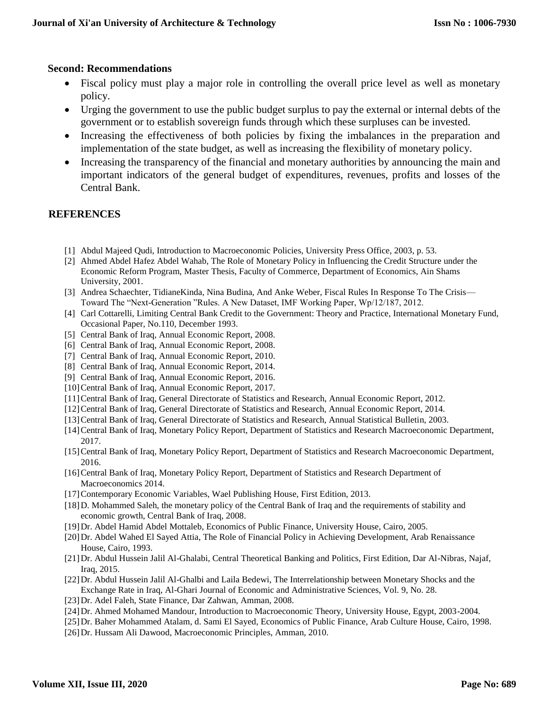### **Second: Recommendations**

- Fiscal policy must play a major role in controlling the overall price level as well as monetary policy.
- Urging the government to use the public budget surplus to pay the external or internal debts of the government or to establish sovereign funds through which these surpluses can be invested.
- Increasing the effectiveness of both policies by fixing the imbalances in the preparation and implementation of the state budget, as well as increasing the flexibility of monetary policy.
- Increasing the transparency of the financial and monetary authorities by announcing the main and important indicators of the general budget of expenditures, revenues, profits and losses of the Central Bank.

# **REFERENCES**

- [1] Abdul Majeed Qudi, Introduction to Macroeconomic Policies, University Press Office, 2003, p. 53.
- [2] Ahmed Abdel Hafez Abdel Wahab, The Role of Monetary Policy in Influencing the Credit Structure under the Economic Reform Program, Master Thesis, Faculty of Commerce, Department of Economics, Ain Shams University, 2001.
- [3] Andrea Schaechter, TidianeKinda, Nina Budina, And Anke Weber, Fiscal Rules In Response To The Crisis— Toward The "Next-Generation "Rules. A New Dataset, IMF Working Paper, Wp/12/187, 2012.
- [4] Carl Cottarelli, Limiting Central Bank Credit to the Government: Theory and Practice, International Monetary Fund, Occasional Paper, No.110, December 1993.
- [5] Central Bank of Iraq, Annual Economic Report, 2008.
- [6] Central Bank of Iraq, Annual Economic Report, 2008.
- [7] Central Bank of Iraq, Annual Economic Report, 2010.
- [8] Central Bank of Iraq, Annual Economic Report, 2014.
- [9] Central Bank of Iraq, Annual Economic Report, 2016.
- [10] Central Bank of Iraq, Annual Economic Report, 2017.
- [11]Central Bank of Iraq, General Directorate of Statistics and Research, Annual Economic Report, 2012.
- [12]Central Bank of Iraq, General Directorate of Statistics and Research, Annual Economic Report, 2014.
- [13]Central Bank of Iraq, General Directorate of Statistics and Research, Annual Statistical Bulletin, 2003.
- [14]Central Bank of Iraq, Monetary Policy Report, Department of Statistics and Research Macroeconomic Department, 2017.
- [15]Central Bank of Iraq, Monetary Policy Report, Department of Statistics and Research Macroeconomic Department, 2016.
- [16]Central Bank of Iraq, Monetary Policy Report, Department of Statistics and Research Department of Macroeconomics 2014.
- [17] Contemporary Economic Variables, Wael Publishing House, First Edition, 2013.
- [18]D. Mohammed Saleh, the monetary policy of the Central Bank of Iraq and the requirements of stability and economic growth, Central Bank of Iraq, 2008.
- [19]Dr. Abdel Hamid Abdel Mottaleb, Economics of Public Finance, University House, Cairo, 2005.
- [20]Dr. Abdel Wahed El Sayed Attia, The Role of Financial Policy in Achieving Development, Arab Renaissance House, Cairo, 1993.
- [21]Dr. Abdul Hussein Jalil Al-Ghalabi, Central Theoretical Banking and Politics, First Edition, Dar Al-Nibras, Najaf, Iraq, 2015.
- [22]Dr. Abdul Hussein Jalil Al-Ghalbi and Laila Bedewi, The Interrelationship between Monetary Shocks and the Exchange Rate in Iraq, Al-Ghari Journal of Economic and Administrative Sciences, Vol. 9, No. 28.
- [23]Dr. Adel Faleh, State Finance, Dar Zahwan, Amman, 2008.
- [24]Dr. Ahmed Mohamed Mandour, Introduction to Macroeconomic Theory, University House, Egypt, 2003-2004.
- [25]Dr. Baher Mohammed Atalam, d. Sami El Sayed, Economics of Public Finance, Arab Culture House, Cairo, 1998.
- [26]Dr. Hussam Ali Dawood, Macroeconomic Principles, Amman, 2010.